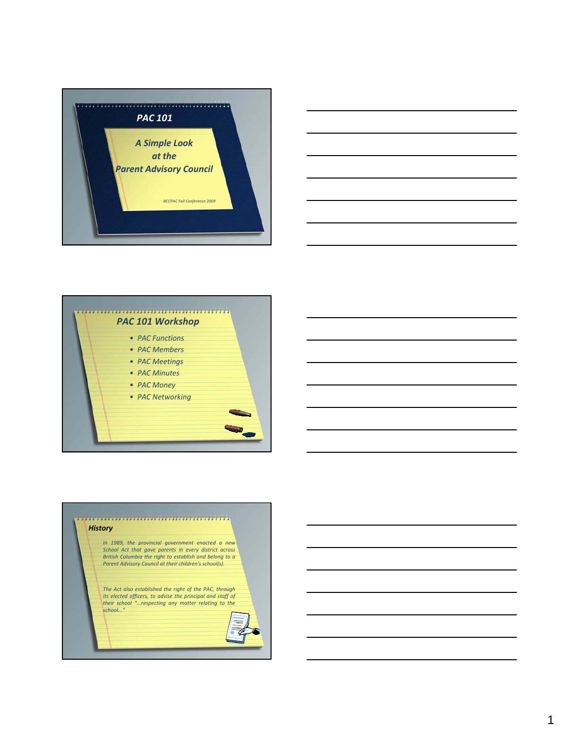





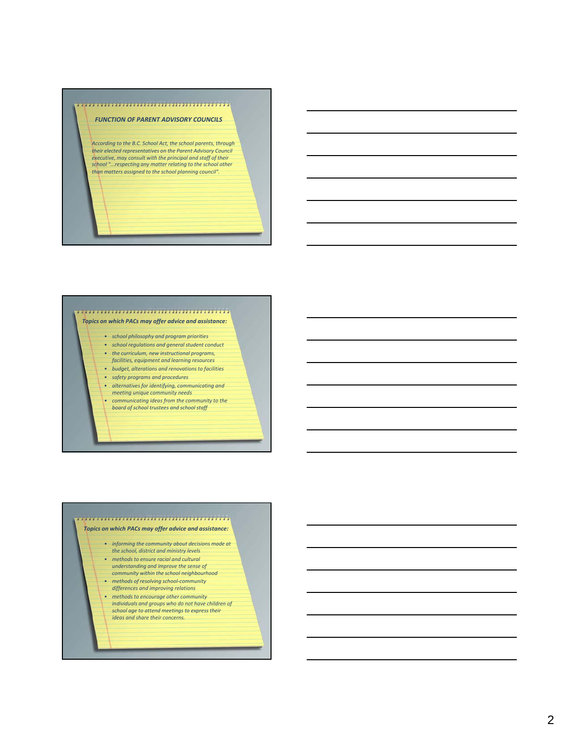*FUNCTION OF PARENT ADVISORY COUNCILS*

According to the B.C. School Act, the school parents, through<br>their elected representatives on the Parent Advisory Council *executive, may consult with the principal and staff of their school "...resp g ectin any matter relating to the school other than matters assigned to the school planning council".*

#### *Topics on which PACs may offer advice and assistance:*

- *school philosophy and program priorities*
- *school regulations and general student conduct*
- *the curriculum, new instructional programs, facilities, equipment and learning resources*
- *budget, alterations and renovationsto facilities*
- *safety programs and procedures*
- *alternativesfor identifying, communicating and meeting unique community needs*
- *communicating ideas from the community to the board of school trustees and school staff*

## *Topics on which PACs may offer advice and assistance:*

- *informing the community about decisions made at*
- *the school, district and ministry levels* • *methods to ensure racial and cultural understanding and improve the sense of community within the school neighbourhood*
- *methods of resolving school‐community differences and improving relations*
- *methods to encourage other community*
- *individuals and groups who do not have children of school age to attend meetings to express their ideas and share their concerns.*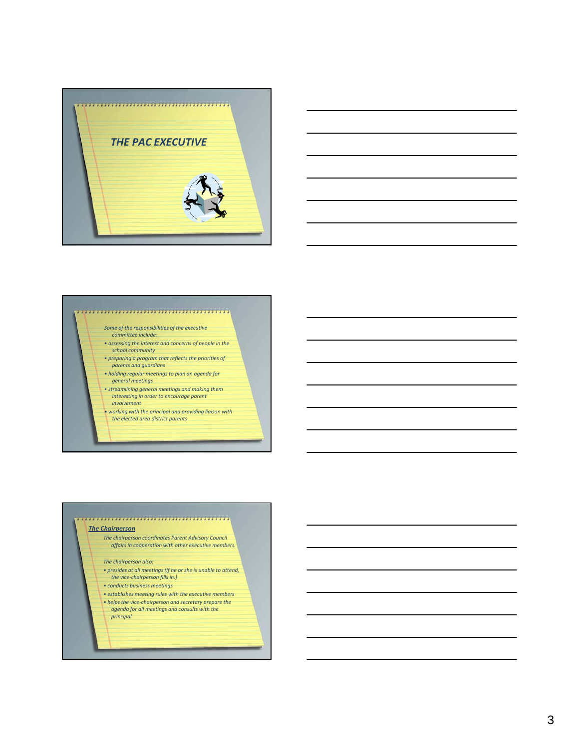



- 
- *Some of the responsibilities of the executive committee include:*
- *• assessing the interest and concerns of people in the*
- *school community*
- *• preparing a program that reflects the priorities of parents and guardians*
- *• holding regular meetings to plan an agenda for*
- *general meetings*
- *• streamlining general meetings and making them interesting in order to encourage parent*
	- *involvement*
- *• working with the principal and providing liaison with the elected area district parents*

#### *The Chairperson*

*The chairperson coordinates Parent Advisory Council affairs in cooperation with other executive members.*

- *The chairperson also:*
- *• presides at all meetings (If he or she is unable to attend,*
- *the vice‐chairperson fills in.)*
- *• conducts business meetings*
- *• establishes meeting rules with the executive members • helps the vice‐chairperson and secretary prepare the*
- *agenda for all meetings and consults with the*
- *principal*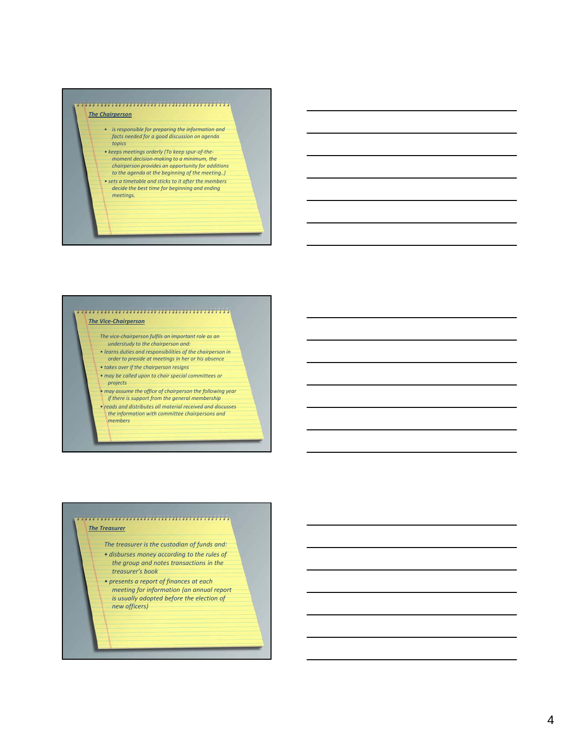## *The Chairperson*

- *is responsible for preparing the information and facts needed for a good discussion on agenda topics*
- *• keeps meetings orderly (To keep spur‐of‐the‐ moment decision‐making to a minimum, the chairperson provides an opportunity for additions to the agenda at the beginning of the meeting..)*
- sets a timetable and sticks to it after the members<br>decide the best time for beginning and ending *meetings.*

## 

*The Vice‐Chairperson*

- *The vice‐chairperson fulfils an important role as an understudy to the chairperson and:*
- *• learns duties and responsibilities of the chairperson in order to preside at meetings in her or his absence*
- *• takes over if the chairperson resigns*
- *• may be call de upon to chair special committees or projects*
- *• may assume the office of chairperson the following year if there is support from the general membership*
- *• reads and distributes all material received and discusses the information with committee chairpersons and members*

## *The Treasurer*

- *The treasurer is the custodian of funds and:*
- *• disburses money according to the rules of the group and notes transactions in the treasurer's book*
- *• presents presentsa report of finances at each meeting for information (an annual report is usually adopted before the election of new officers)*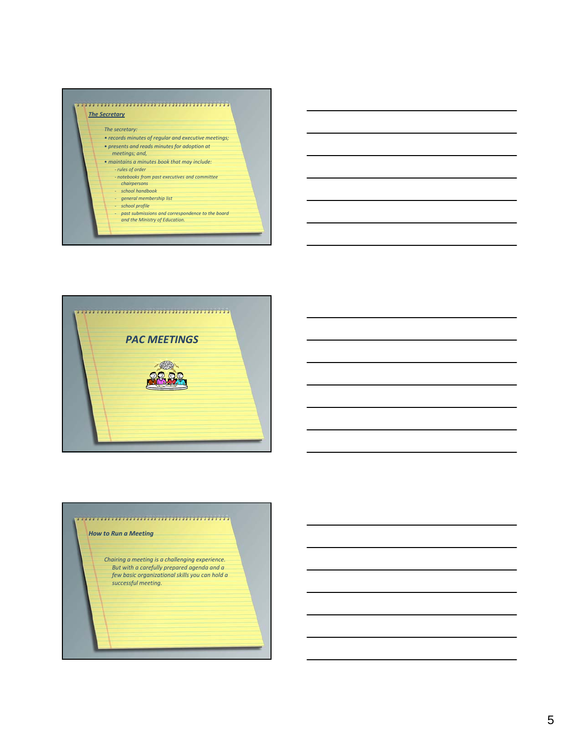## *The Secretary*

## *The secretary:*

- *• records minutes of regular and executive meetings;*
- *• presents and reads minutes for adoption at meetings; and,*
- *• maintains a minutes book that may include:*
- *‐ rules of order*
- *‐ notebooks from past executives and committee*
	- *chairpersons* ‐ *school handbook*
	- ‐ *general membership list*
	- ‐ *school profile*
	- ‐ *past submissions and correspondence to the board and the Ministry of Education.*



# 

## *How to Run a Meeting*

*Chairing a meeting is a challenging experience. But with a carefully prepared agenda and a few basic organizational skills you can hold a successf l u meeting.*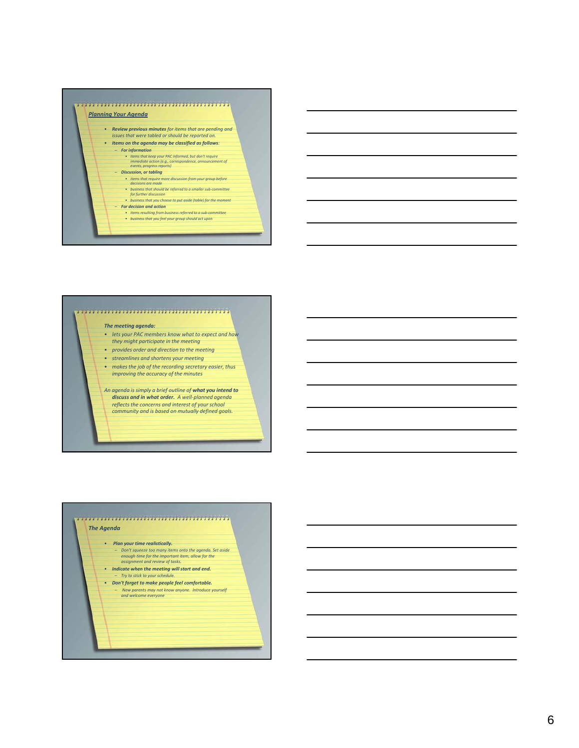

#### *The meeting agenda:*

- *lets your PAC members know what to expect and how they might participate in the meeting*
- *provides order and direction to the meeting*
- *streamlines and shortens your meeting*
- *makes the job of the recording secretary easier, thus*
- *improving the accuracy of the minutes*

*An agenda is simply a brief outline of what you intend to discuss and in what order. A well‐planned agenda reflects the concerns and interest of your school community and is based on mutually defined goals.*

## *The Agenda*

- *Plan your time realistically.*
- Don't squeeze too many items onto the agenda. Set aside<br>enough time for the important item, allow for the<br>assignment and review of tasks.
- *Indicate when the meeting will start and end.*
- *Try to stick to your schedule.* • *Don't forget to make people feel comfortable.*
- *New parents may not know anyone. Introduce yourself and welcome everyone*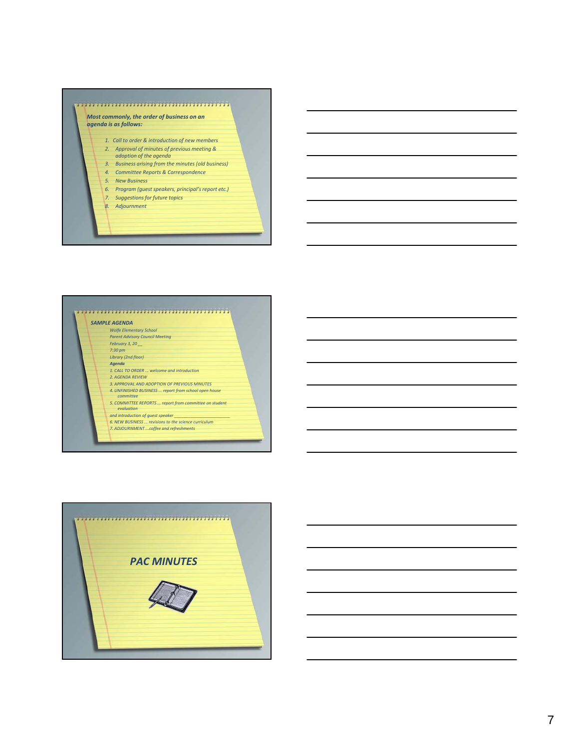*Most commonly, the order of business on an agenda is as follows:*

- *1. Call to order & introduction of new members*
- *2. Approval of minutes of previous meeting & adoption of the agenda*
- *3. Business arising from the minutes (old business)*
- *4. Committee Reports & Correspondence*
- *5. New Business*
- *6. Program (guest speakers, principal's report etc.)*
- *7. Suggestionsfor future topics 8. Adjournment*

## 

## *SAMPLE AGENDA*

- *Wolfe Elementary School Parent Advisory Council Meeting*
- *February 3, 20 \_\_*
- *7:30 pm Library (2nd floor)*
- *Agenda*
- *1. CALL TO ORDER ... welcome and introduction 2. AGENDA REVIEW*
- *3. APPROVAL AND ADOPTION OF PREVIOUS MINUTES*
- *4. UNFINISHED BUSINESS ... report from school open house*
- *committee 5. COMMITTEE REPORTS ... report from committee on student*
- 

*evaluation and introduction of guest speaker \_\_\_\_\_\_\_\_\_\_\_\_\_\_\_\_\_\_\_\_\_\_\_\_ 6. NEW BUSINESS ... revisions to the science curriculum 7. ADJOURNMENT ...coffee and refreshments*



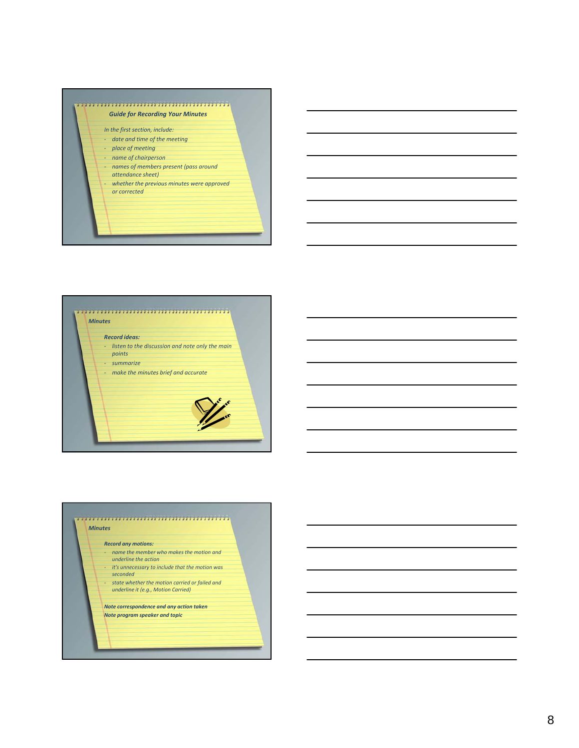## *Guide for Recording Your Minutes*

- *In the first section, include:*
- *‐ date and time of the meeting*
- *‐ place of meeting*
- *‐ name of chairperson*
- *‐ names of members present (pass around*
- *attendance sheet)*
- *‐ whether the previous minutes were approved or corrected*



## *Minutes*

#### *Record any motions:*

- *‐ name the member who makes the motion and*
- *underline the action*
- *‐ it's unnecessary to include that the motion was*
- *seconded*
- *‐ state wh h et er the motion carried or f ld ai e and underline it (e.g., Motion Carried)*

#### *Note correspondence and any action taken Note program speaker and topic*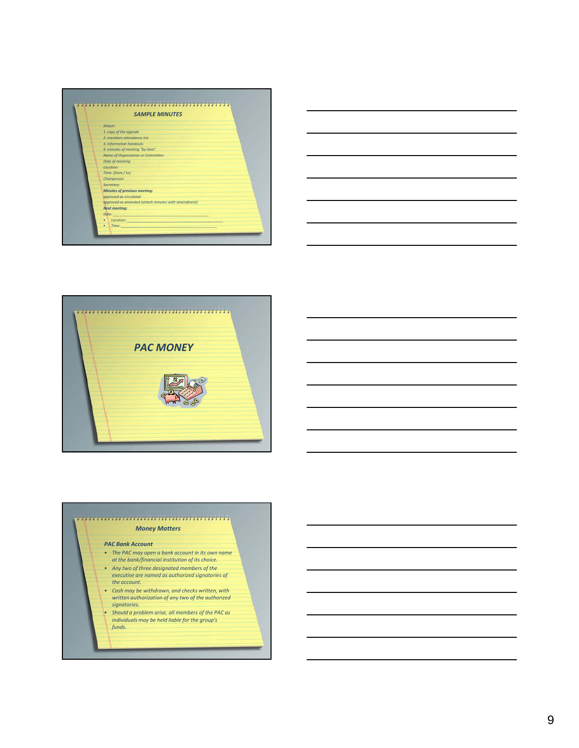





#### *Money Matters*

#### *PAC Bank Account*

- *The PAC may open a bank account in its own name at the bank/financial institution of its choice.*
- *Any two of three designated members of the executive are named as authorized signatories of the account.*
- *Cash may be withdrawn, and checks written, with written authorization of any two of the authorized signatories.*
- *Should a problem arise, all members of the PAC as individuals may be held liable for the group's funds.*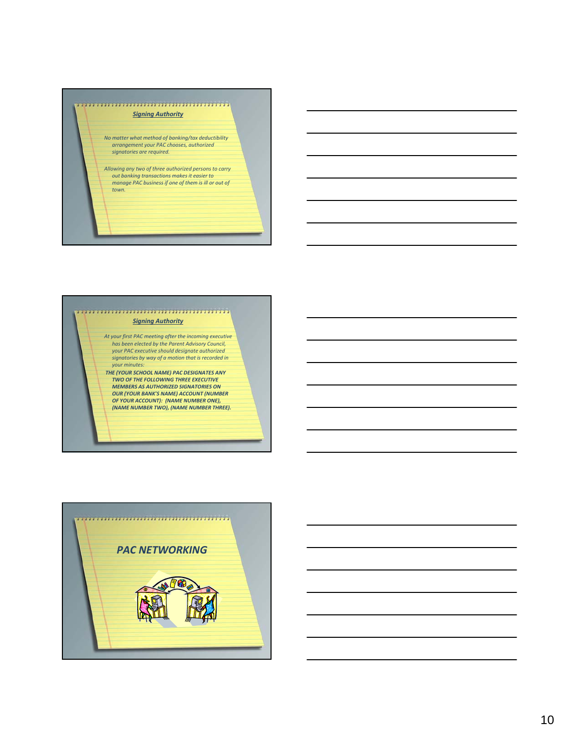

*No matter what method of banking/tax deductibility arrangement your PAC chooses, authorized signatories are required.* 

*Allowing any two of three auth d orize persons to carry* out banking transactions makes it easier to<br>manage PAC business if one of them is ill or out of *town.*

## *Signing Authority*

*At your first PAC meeting after the incoming executive has been elected by the Parent Advisory Council, your PAC executive should designate authorized signatories by way of a motion that is recorded in your minutes:*

*THE (YOUR SCHOOL NAME) PAC DESIGNATES ANY TWO OF THE FOLLOWING THREE EXECUTIVE MEMBERS AS AUTHORIZED SIGNATORIES ON OUR (YOUR BANK'S NAME) ACCOUNT (NUMBER OF YOUR ACCOUNT): (NAME NUMBER ONE), (NAME NUMBER TWO), (NAME NUMBER THREE).*